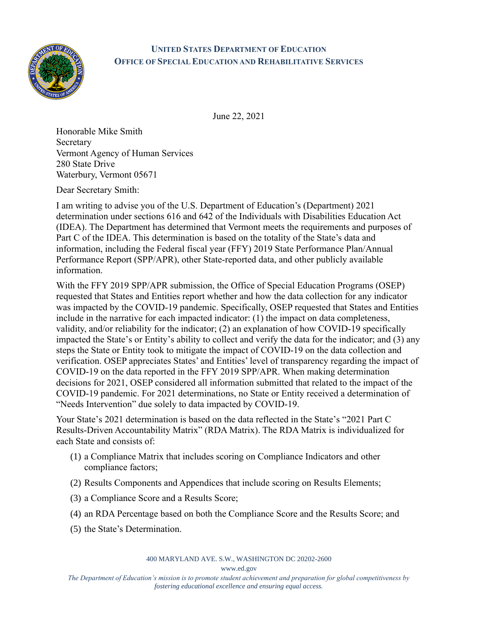

## **UNITED STATES DEPARTMENT OF EDUCATION OFFICE OF SPECIAL EDUCATION AND REHABILITATIVE SERVICES**

June 22, 2021

Honorable Mike Smith Secretary Vermont Agency of Human Services 280 State Drive Waterbury, Vermont 05671

Dear Secretary Smith:

I am writing to advise you of the U.S. Department of Education's (Department) 2021 determination under sections 616 and 642 of the Individuals with Disabilities Education Act (IDEA). The Department has determined that Vermont meets the requirements and purposes of Part C of the IDEA. This determination is based on the totality of the State's data and information, including the Federal fiscal year (FFY) 2019 State Performance Plan/Annual Performance Report (SPP/APR), other State-reported data, and other publicly available information.

With the FFY 2019 SPP/APR submission, the Office of Special Education Programs (OSEP) requested that States and Entities report whether and how the data collection for any indicator was impacted by the COVID-19 pandemic. Specifically, OSEP requested that States and Entities include in the narrative for each impacted indicator: (1) the impact on data completeness, validity, and/or reliability for the indicator; (2) an explanation of how COVID-19 specifically impacted the State's or Entity's ability to collect and verify the data for the indicator; and (3) any steps the State or Entity took to mitigate the impact of COVID-19 on the data collection and verification. OSEP appreciates States' and Entities' level of transparency regarding the impact of COVID-19 on the data reported in the FFY 2019 SPP/APR. When making determination decisions for 2021, OSEP considered all information submitted that related to the impact of the COVID-19 pandemic. For 2021 determinations, no State or Entity received a determination of "Needs Intervention" due solely to data impacted by COVID-19.

Your State's 2021 determination is based on the data reflected in the State's "2021 Part C Results-Driven Accountability Matrix" (RDA Matrix). The RDA Matrix is individualized for each State and consists of:

- (1) a Compliance Matrix that includes scoring on Compliance Indicators and other compliance factors;
- (2) Results Components and Appendices that include scoring on Results Elements;
- (3) a Compliance Score and a Results Score;
- (4) an RDA Percentage based on both the Compliance Score and the Results Score; and
- (5) the State's Determination.

400 MARYLAND AVE. S.W., WASHINGTON DC 20202-2600

www.ed.gov

*The Department of Education's mission is to promote student achievement and preparation for global competitiveness by fostering educational excellence and ensuring equal access.*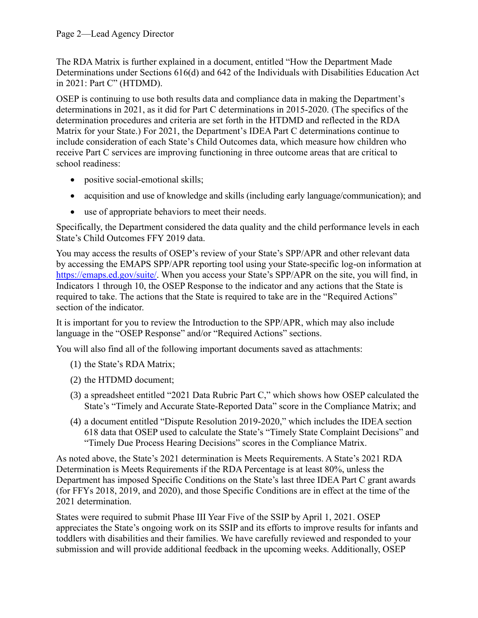The RDA Matrix is further explained in a document, entitled "How the Department Made Determinations under Sections 616(d) and 642 of the Individuals with Disabilities Education Act in 2021: Part C" (HTDMD).

OSEP is continuing to use both results data and compliance data in making the Department's determinations in 2021, as it did for Part C determinations in 2015-2020. (The specifics of the determination procedures and criteria are set forth in the HTDMD and reflected in the RDA Matrix for your State.) For 2021, the Department's IDEA Part C determinations continue to include consideration of each State's Child Outcomes data, which measure how children who receive Part C services are improving functioning in three outcome areas that are critical to school readiness:

- positive social-emotional skills;
- acquisition and use of knowledge and skills (including early language/communication); and
- use of appropriate behaviors to meet their needs.

Specifically, the Department considered the data quality and the child performance levels in each State's Child Outcomes FFY 2019 data.

You may access the results of OSEP's review of your State's SPP/APR and other relevant data by accessing the EMAPS SPP/APR reporting tool using your State-specific log-on information at [https://emaps.ed.gov/suite/.](https://emaps.ed.gov/suite/) When you access your State's SPP/APR on the site, you will find, in Indicators 1 through 10, the OSEP Response to the indicator and any actions that the State is required to take. The actions that the State is required to take are in the "Required Actions" section of the indicator.

It is important for you to review the Introduction to the SPP/APR, which may also include language in the "OSEP Response" and/or "Required Actions" sections.

You will also find all of the following important documents saved as attachments:

- (1) the State's RDA Matrix;
- (2) the HTDMD document;
- (3) a spreadsheet entitled "2021 Data Rubric Part C," which shows how OSEP calculated the State's "Timely and Accurate State-Reported Data" score in the Compliance Matrix; and
- (4) a document entitled "Dispute Resolution 2019-2020," which includes the IDEA section 618 data that OSEP used to calculate the State's "Timely State Complaint Decisions" and "Timely Due Process Hearing Decisions" scores in the Compliance Matrix.

As noted above, the State's 2021 determination is Meets Requirements. A State's 2021 RDA Determination is Meets Requirements if the RDA Percentage is at least 80%, unless the Department has imposed Specific Conditions on the State's last three IDEA Part C grant awards (for FFYs 2018, 2019, and 2020), and those Specific Conditions are in effect at the time of the 2021 determination.

States were required to submit Phase III Year Five of the SSIP by April 1, 2021. OSEP appreciates the State's ongoing work on its SSIP and its efforts to improve results for infants and toddlers with disabilities and their families. We have carefully reviewed and responded to your submission and will provide additional feedback in the upcoming weeks. Additionally, OSEP